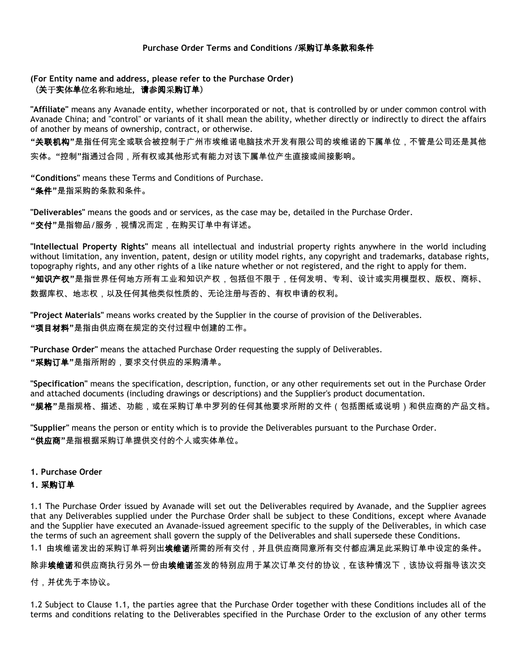# **(For Entity name and address, please refer to the Purchase Order)** (关于实体单位名称和地址,请参阅采购订单)

**"Affiliate"** means any Avanade entity, whether incorporated or not, that is controlled by or under common control with Avanade China; and "control" or variants of it shall mean the ability, whether directly or indirectly to direct the affairs of another by means of ownership, contract, or otherwise.

**"**关联机构**"**是指任何完全或联合被控制于广州市埃维诺电脑技术开发有限公司的埃维诺的下属单位,不管是公司还是其他 实体。"控制"指通过合同,所有权或其他形式有能力对该下属单位产生直接或间接影响。

**"Conditions"** means these Terms and Conditions of Purchase.

**"**条件**"**是指采购的条款和条件。

**"Deliverables"** means the goods and or services, as the case may be, detailed in the Purchase Order. **"**交付**"**是指物品/服务,视情况而定,在购买订单中有详述。

**"Intellectual Property Rights"** means all intellectual and industrial property rights anywhere in the world including without limitation, any invention, patent, design or utility model rights, any copyright and trademarks, database rights, topography rights, and any other rights of a like nature whether or not registered, and the right to apply for them. **"**知识产权**"**是指世界任何地方所有工业和知识产权,包括但不限于,任何发明、专利、设计或实用模型权、版权、商标、 数据库权、地志权,以及任何其他类似性质的、无论注册与否的、有权申请的权利。

**"Project Materials"** means works created by the Supplier in the course of provision of the Deliverables. **"**项目材料**"**是指由供应商在规定的交付过程中创建的工作。

**"Purchase Order"** means the attached Purchase Order requesting the supply of Deliverables. **"**采购订单**"**是指所附的,要求交付供应的采购清单。

**"Specification"** means the specification, description, function, or any other requirements set out in the Purchase Order and attached documents (including drawings or descriptions) and the Supplier's product documentation. **"**规格**"**是指规格、描述、功能,或在采购订单中罗列的任何其他要求所附的文件(包括图纸或说明)和供应商的产品文档。

**"Supplier"** means the person or entity which is to provide the Deliverables pursuant to the Purchase Order. **"**供应商**"**是指根据采购订单提供交付的个人或实体单位。

**1. Purchase Order**

# **1.** 采购订单

1.1 The Purchase Order issued by Avanade will set out the Deliverables required by Avanade, and the Supplier agrees that any Deliverables supplied under the Purchase Order shall be subject to these Conditions, except where Avanade and the Supplier have executed an Avanade-issued agreement specific to the supply of the Deliverables, in which case the terms of such an agreement shall govern the supply of the Deliverables and shall supersede these Conditions.

1.1 由埃维诺发出的采购订单将列出**埃维诺**所需的所有交付,并且供应商同意所有交付都应满足此采购订单中设定的条件。

除非**埃维诺**和供应商执行另外一份由**埃维诺**签发的特别应用于某次订单交付的协议,在该种情况下,该协议将指导该次交

付,并优先于本协议。

1.2 Subject to Clause 1.1, the parties agree that the Purchase Order together with these Conditions includes all of the terms and conditions relating to the Deliverables specified in the Purchase Order to the exclusion of any other terms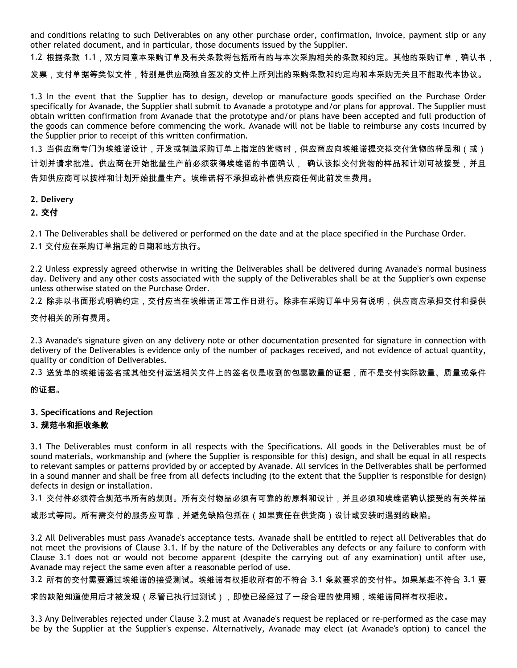and conditions relating to such Deliverables on any other purchase order, confirmation, invoice, payment slip or any other related document, and in particular, those documents issued by the Supplier.

1.2 根据条款 1.1,双方同意本采购订单及有关条款将包括所有的与本次采购相关的条款和约定。其他的采购订单,确认书,

发票,支付单据等类似文件,特别是供应商独自签发的文件上所列出的采购条款和约定均和本采购无关且不能取代本协议。

1.3 In the event that the Supplier has to design, develop or manufacture goods specified on the Purchase Order specifically for Avanade, the Supplier shall submit to Avanade a prototype and/or plans for approval. The Supplier must obtain written confirmation from Avanade that the prototype and/or plans have been accepted and full production of the goods can commence before commencing the work. Avanade will not be liable to reimburse any costs incurred by the Supplier prior to receipt of this written confirmation.

1.3 当供应商专门为埃维诺设计,开发或制造采购订单上指定的货物时,供应商应向埃维诺提交拟交付货物的样品和(或) 计划并请求批准。供应商在开始批量生产前必须获得埃维诺的书面确认, 确认该拟交付货物的样品和计划可被接受,并且 告知供应商可以按样和计划开始批量生产。埃维诺将不承担或补偿供应商任何此前发生费用。

### **2. Delivery**

# **2.** 交付

2.1 The Deliverables shall be delivered or performed on the date and at the place specified in the Purchase Order.

2.1 交付应在采购订单指定的日期和地方执行。

2.2 Unless expressly agreed otherwise in writing the Deliverables shall be delivered during Avanade's normal business day. Delivery and any other costs associated with the supply of the Deliverables shall be at the Supplier's own expense unless otherwise stated on the Purchase Order.

2.2 除非以书面形式明确约定,交付应当在埃维诺正常工作日进行。除非在采购订单中另有说明,供应商应承担交付和提供

交付相关的所有费用。

2.3 Avanade's signature given on any delivery note or other documentation presented for signature in connection with delivery of the Deliverables is evidence only of the number of packages received, and not evidence of actual quantity, quality or condition of Deliverables.

2.3 送货单的埃维诺签名或其他交付运送相关文件上的签名仅是收到的包裹数量的证据,而不是交付实际数量、质量或条件

的证据。

### **3. Specifications and Rejection**

### **3.** 规范书和拒收条款

3.1 The Deliverables must conform in all respects with the Specifications. All goods in the Deliverables must be of sound materials, workmanship and (where the Supplier is responsible for this) design, and shall be equal in all respects to relevant samples or patterns provided by or accepted by Avanade. All services in the Deliverables shall be performed in a sound manner and shall be free from all defects including (to the extent that the Supplier is responsible for design) defects in design or installation.

3.1 交付件必须符合规范书所有的规则。所有交付物品必须有可靠的的原料和设计,并且必须和埃维诺确认接受的有关样品

或形式等同。所有需交付的服务应可靠,并避免缺陷包括在(如果责任在供货商)设计或安装时遇到的缺陷。

3.2 All Deliverables must pass Avanade's acceptance tests. Avanade shall be entitled to reject all Deliverables that do not meet the provisions of Clause 3.1. If by the nature of the Deliverables any defects or any failure to conform with Clause 3.1 does not or would not become apparent (despite the carrying out of any examination) until after use, Avanade may reject the same even after a reasonable period of use.

3.2 所有的交付需要通过埃维诺的接受测试。埃维诺有权拒收所有的不符合 3.1 条款要求的交付件。如果某些不符合 3.1 要

求的缺陷知道使用后才被发现(尽管已执行过测试),即使已经经过了一段合理的使用期,埃维诺同样有权拒收。

3.3 Any Deliverables rejected under Clause 3.2 must at Avanade's request be replaced or re-performed as the case may be by the Supplier at the Supplier's expense. Alternatively, Avanade may elect (at Avanade's option) to cancel the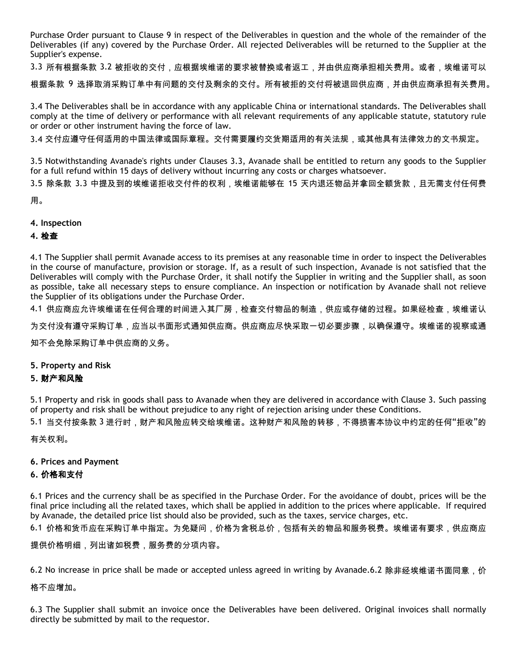Purchase Order pursuant to Clause 9 in respect of the Deliverables in question and the whole of the remainder of the Deliverables (if any) covered by the Purchase Order. All rejected Deliverables will be returned to the Supplier at the Supplier's expense.

3.3 所有根据条款 3.2 被拒收的交付,应根据埃维诺的要求被替换或者返工,并由供应商承担相关费用。或者,埃维诺可以

根据条款 9 选择取消采购订单中有问题的交付及剩余的交付。所有被拒的交付将被退回供应商,并由供应商承担有关费用。

3.4 The Deliverables shall be in accordance with any applicable China or international standards. The Deliverables shall comply at the time of delivery or performance with all relevant requirements of any applicable statute, statutory rule or order or other instrument having the force of law.

3.4 交付应遵守任何适用的中国法律或国际章程。交付需要履约交货期适用的有关法规,或其他具有法律效力的文书规定。

3.5 Notwithstanding Avanade's rights under Clauses 3.3, Avanade shall be entitled to return any goods to the Supplier for a full refund within 15 days of delivery without incurring any costs or charges whatsoever.

3.5 除条款 3.3 中提及到的埃维诺拒收交付件的权利,埃维诺能够在 15 天内退还物品并拿回全额货款,且无需支付任何费

用。

#### **4. Inspection**

### **4.** 检查

4.1 The Supplier shall permit Avanade access to its premises at any reasonable time in order to inspect the Deliverables in the course of manufacture, provision or storage. If, as a result of such inspection, Avanade is not satisfied that the Deliverables will comply with the Purchase Order, it shall notify the Supplier in writing and the Supplier shall, as soon as possible, take all necessary steps to ensure compliance. An inspection or notification by Avanade shall not relieve the Supplier of its obligations under the Purchase Order.

4.1 供应商应允许埃维诺在任何合理的时间进入其厂房,检查交付物品的制造,供应或存储的过程。如果经检查,埃维诺认

为交付没有遵守采购订单,应当以书面形式通知供应商。供应商应尽快采取一切必要步骤,以确保遵守。埃维诺的视察或通

知不会免除采购订单中供应商的义务。

#### **5. Property and Risk**

### **5.** 财产和风险

5.1 Property and risk in goods shall pass to Avanade when they are delivered in accordance with Clause 3. Such passing of property and risk shall be without prejudice to any right of rejection arising under these Conditions.

5.1 当交付按条款 3 进行时,财产和风险应转交给埃维诺。这种财产和风险的转移,不得损害本协议中约定的任何"拒收"的

有关权利。

#### **6. Prices and Payment**

### **6.** 价格和支付

6.1 Prices and the currency shall be as specified in the Purchase Order. For the avoidance of doubt, prices will be the final price including all the related taxes, which shall be applied in addition to the prices where applicable. If required by Avanade, the detailed price list should also be provided, such as the taxes, service charges, etc.

6.1 价格和货币应在采购订单中指定。为免疑问,价格为含税总价,包括有关的物品和服务税费。埃维诺有要求,供应商应

提供价格明细,列出诸如税费,服务费的分项内容。

6.2 No increase in price shall be made or accepted unless agreed in writing by Avanade.6.2 除非经埃维诺书面同意,价

#### 格不应增加。

6.3 The Supplier shall submit an invoice once the Deliverables have been delivered. Original invoices shall normally directly be submitted by mail to the requestor.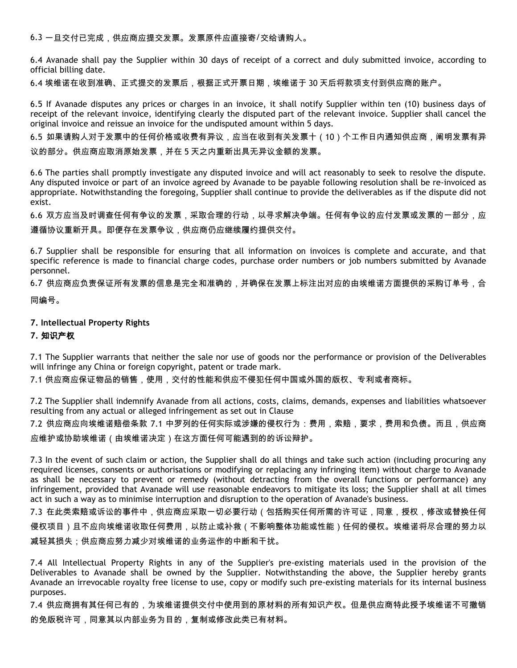6.3 一旦交付已完成,供应商应提交发票。发票原件应直接寄/交给请购人。

6.4 Avanade shall pay the Supplier within 30 days of receipt of a correct and duly submitted invoice, according to official billing date.

6.4 埃维诺在收到准确、正式提交的发票后,根据正式开票日期,埃维诺于 30 天后将款项支付到供应商的账户。

6.5 If Avanade disputes any prices or charges in an invoice, it shall notify Supplier within ten (10) business days of receipt of the relevant invoice, identifying clearly the disputed part of the relevant invoice. Supplier shall cancel the original invoice and reissue an invoice for the undisputed amount within 5 days.

6.5 如果请购人对于发票中的任何价格或收费有异议,应当在收到有关发票十(10)个工作日内通知供应商,阐明发票有异

议的部分。供应商应取消原始发票,并在 5 天之内重新出具无异议金额的发票。

6.6 The parties shall promptly investigate any disputed invoice and will act reasonably to seek to resolve the dispute. Any disputed invoice or part of an invoice agreed by Avanade to be payable following resolution shall be re-invoiced as appropriate. Notwithstanding the foregoing, Supplier shall continue to provide the deliverables as if the dispute did not exist.

6.6 双方应当及时调查任何有争议的发票,采取合理的行动,以寻求解决争端。任何有争议的应付发票或发票的一部分,应 遵循协议重新开具。即便存在发票争议,供应商仍应继续履约提供交付。

6.7 Supplier shall be responsible for ensuring that all information on invoices is complete and accurate, and that specific reference is made to financial charge codes, purchase order numbers or job numbers submitted by Avanade personnel.

6.7 供应商应负责保证所有发票的信息是完全和准确的,并确保在发票上标注出对应的由埃维诺方面提供的采购订单号,合

同编号。

### **7. Intellectual Property Rights**

#### **7.** 知识产权

7.1 The Supplier warrants that neither the sale nor use of goods nor the performance or provision of the Deliverables will infringe any China or foreign copyright, patent or trade mark.

7.1 供应商应保证物品的销售,使用,交付的性能和供应不侵犯任何中国或外国的版权、专利或者商标。

7.2 The Supplier shall indemnify Avanade from all actions, costs, claims, demands, expenses and liabilities whatsoever resulting from any actual or alleged infringement as set out in Clause

7.2 供应商应向埃维诺赔偿条款 7.1 中罗列的任何实际或涉嫌的侵权行为:费用,索赔,要求,费用和负债。而且,供应商 应维护或协助埃维诺(由埃维诺决定)在这方面任何可能遇到的的诉讼辩护。

7.3 In the event of such claim or action, the Supplier shall do all things and take such action (including procuring any required licenses, consents or authorisations or modifying or replacing any infringing item) without charge to Avanade as shall be necessary to prevent or remedy (without detracting from the overall functions or performance) any infringement, provided that Avanade will use reasonable endeavors to mitigate its loss; the Supplier shall at all times act in such a way as to minimise interruption and disruption to the operation of Avanade's business.

7.3 在此类索赔或诉讼的事件中,供应商应采取一切必要行动(包括购买任何所需的许可证,同意,授权,修改或替换任何 侵权项目)且不应向埃维诺收取任何费用,以防止或补救(不影响整体功能或性能)任何的侵权。埃维诺将尽合理的努力以 减轻其损失;供应商应努力减少对埃维诺的业务运作的中断和干扰。

7.4 All Intellectual Property Rights in any of the Supplier's pre-existing materials used in the provision of the Deliverables to Avanade shall be owned by the Supplier. Notwithstanding the above, the Supplier hereby grants Avanade an irrevocable royalty free license to use, copy or modify such pre-existing materials for its internal business purposes.

7.4 供应商拥有其任何已有的,为埃维诺提供交付中使用到的原材料的所有知识产权。但是供应商特此授予埃维诺不可撤销 的免版税许可,同意其以内部业务为目的,复制或修改此类已有材料。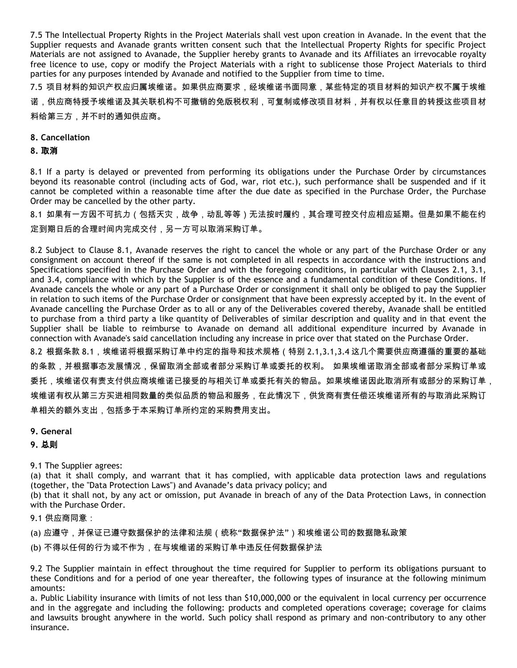7.5 The Intellectual Property Rights in the Project Materials shall vest upon creation in Avanade. In the event that the Supplier requests and Avanade grants written consent such that the Intellectual Property Rights for specific Project Materials are not assigned to Avanade, the Supplier hereby grants to Avanade and its Affiliates an irrevocable royalty free licence to use, copy or modify the Project Materials with a right to sublicense those Project Materials to third parties for any purposes intended by Avanade and notified to the Supplier from time to time.

7.5 项目材料的知识产权应归属埃维诺。如果供应商要求,经埃维诺书面同意,某些特定的项目材料的知识产权不属于埃维 诺,供应商特授予埃维诺及其关联机构不可撤销的免版税权利,可复制或修改项目材料,并有权以任意目的转授这些项目材 料给第三方,并不时的通知供应商。

### **8. Cancellation**

### **8.** 取消

8.1 If a party is delayed or prevented from performing its obligations under the Purchase Order by circumstances beyond its reasonable control (including acts of God, war, riot etc.), such performance shall be suspended and if it cannot be completed within a reasonable time after the due date as specified in the Purchase Order, the Purchase Order may be cancelled by the other party.

8.1 如果有一方因不可抗力(包括天灾,战争,动乱等等)无法按时履约,其合理可控交付应相应延期。但是如果不能在约 定到期日后的合理时间内完成交付,另一方可以取消采购订单。

8.2 Subject to Clause 8.1, Avanade reserves the right to cancel the whole or any part of the Purchase Order or any consignment on account thereof if the same is not completed in all respects in accordance with the instructions and Specifications specified in the Purchase Order and with the foregoing conditions, in particular with Clauses 2.1, 3.1, and 3.4, compliance with which by the Supplier is of the essence and a fundamental condition of these Conditions. If Avanade cancels the whole or any part of a Purchase Order or consignment it shall only be obliged to pay the Supplier in relation to such items of the Purchase Order or consignment that have been expressly accepted by it. In the event of Avanade cancelling the Purchase Order as to all or any of the Deliverables covered thereby, Avanade shall be entitled to purchase from a third party a like quantity of Deliverables of similar description and quality and in that event the Supplier shall be liable to reimburse to Avanade on demand all additional expenditure incurred by Avanade in connection with Avanade's said cancellation including any increase in price over that stated on the Purchase Order. 8.2 根据条款 8.1,埃维诺将根据采购订单中约定的指导和技术规格(特别 2.1,3.1,3.4 这几个需要供应商遵循的重要的基础 的条款,并根据事态发展情况,保留取消全部或者部分采购订单或委托的权利。 如果埃维诺取消全部或者部分采购订单或 委托,埃维诺仅有责支付供应商埃维诺已接受的与相关订单或委托有关的物品。如果埃维诺因此取消所有或部分的采购订单, 埃维诺有权从第三方买进相同数量的类似品质的物品和服务,在此情况下,供货商有责任偿还埃维诺所有的与取消此采购订 单相关的额外支出,包括多于本采购订单所约定的采购费用支出。

#### **9. General**

### **9.** 总则

9.1 The Supplier agrees:

(a) that it shall comply, and warrant that it has complied, with applicable data protection laws and regulations (together, the "Data Protection Laws") and Avanade's data privacy policy; and

(b) that it shall not, by any act or omission, put Avanade in breach of any of the Data Protection Laws, in connection with the Purchase Order.

9.1 供应商同意:

(a) 应遵守,并保证已遵守数据保护的法律和法规(统称"数据保护法")和埃维诺公司的数据隐私政策

(b) 不得以任何的行为或不作为,在与埃维诺的采购订单中违反任何数据保护法

9.2 The Supplier maintain in effect throughout the time required for Supplier to perform its obligations pursuant to these Conditions and for a period of one year thereafter, the following types of insurance at the following minimum amounts:

a. Public Liability insurance with limits of not less than \$10,000,000 or the equivalent in local currency per occurrence and in the aggregate and including the following: products and completed operations coverage; coverage for claims and lawsuits brought anywhere in the world. Such policy shall respond as primary and non-contributory to any other insurance.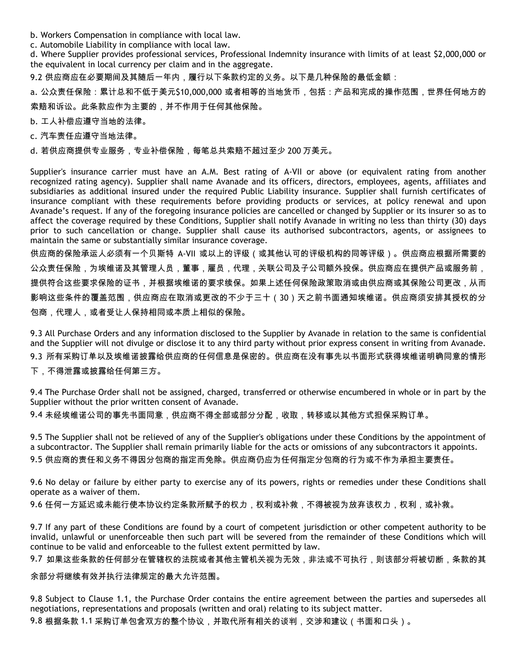- b. Workers Compensation in compliance with local law.
- c. Automobile Liability in compliance with local law.

d. Where Supplier provides professional services, Professional Indemnity insurance with limits of at least \$2,000,000 or the equivalent in local currency per claim and in the aggregate.

9.2 供应商应在必要期间及其随后一年内,履行以下条款约定的义务。以下是几种保险的最低金额:

a. 公众责任保险:累计总和不低于美元\$10,000,000 或者相等的当地货币,包括:产品和完成的操作范围,世界任何地方的 索赔和诉讼。此条款应作为主要的,并不作用于任何其他保险。

b. 工人补偿应遵守当地的法律。

c. 汽车责任应遵守当地法律。

d. 若供应商提供专业服务,专业补偿保险,每笔总共索赔不超过至少 200 万美元。

Supplier's insurance carrier must have an A.M. Best rating of A-VII or above (or equivalent rating from another recognized rating agency). Supplier shall name Avanade and its officers, directors, employees, agents, affiliates and subsidiaries as additional insured under the required Public Liability insurance. Supplier shall furnish certificates of insurance compliant with these requirements before providing products or services, at policy renewal and upon Avanade's request. If any of the foregoing insurance policies are cancelled or changed by Supplier or its insurer so as to affect the coverage required by these Conditions, Supplier shall notify Avanade in writing no less than thirty (30) days prior to such cancellation or change. Supplier shall cause its authorised subcontractors, agents, or assignees to maintain the same or substantially similar insurance coverage.

供应商的保险承运人必须有一个贝斯特 A-Ⅶ 或以上的评级(或其他认可的评级机构的同等评级)。供应商应根据所需要的 公众责任保险,为埃维诺及其管理人员,董事,雇员,代理,关联公司及子公司额外投保。供应商应在提供产品或服务前, 提供符合这些要求保险的证书,并根据埃维诺的要求续保。如果上述任何保险政策取消或由供应商或其保险公司更改,从而 影响这些条件的覆盖范围,供应商应在取消或更改的不少于三十(30)天之前书面通知埃维诺。供应商须安排其授权的分 包商,代理人,或者受让人保持相同或本质上相似的保险。

9.3 All Purchase Orders and any information disclosed to the Supplier by Avanade in relation to the same is confidential and the Supplier will not divulge or disclose it to any third party without prior express consent in writing from Avanade. 9.3 所有采购订单以及埃维诺披露给供应商的任何信息是保密的。供应商在没有事先以书面形式获得埃维诺明确同意的情形 下,不得泄露或披露给任何第三方。

9.4 The Purchase Order shall not be assigned, charged, transferred or otherwise encumbered in whole or in part by the Supplier without the prior written consent of Avanade.

9.4 未经埃维诺公司的事先书面同意,供应商不得全部或部分分配,收取,转移或以其他方式担保采购订单。

9.5 The Supplier shall not be relieved of any of the Supplier's obligations under these Conditions by the appointment of a subcontractor. The Supplier shall remain primarily liable for the acts or omissions of any subcontractors it appoints. 9.5 供应商的责任和义务不得因分包商的指定而免除。供应商仍应为任何指定分包商的行为或不作为承担主要责任。

9.6 No delay or failure by either party to exercise any of its powers, rights or remedies under these Conditions shall operate as a waiver of them.

9.6 任何一方延迟或未能行使本协议约定条款所赋予的权力,权利或补救,不得被视为放弃该权力,权利,或补救。

9.7 If any part of these Conditions are found by a court of competent jurisdiction or other competent authority to be invalid, unlawful or unenforceable then such part will be severed from the remainder of these Conditions which will continue to be valid and enforceable to the fullest extent permitted by law.

9.7 如果这些条款的任何部分在管辖权的法院或者其他主管机关视为无效,非法或不可执行,则该部分将被切断,条款的其

余部分将继续有效并执行法律规定的最大允许范围。

9.8 Subject to Clause 1.1, the Purchase Order contains the entire agreement between the parties and supersedes all negotiations, representations and proposals (written and oral) relating to its subject matter. 9.8 根据条款 1.1 采购订单包含双方的整个协议,并取代所有相关的谈判,交涉和建议(书面和口头)。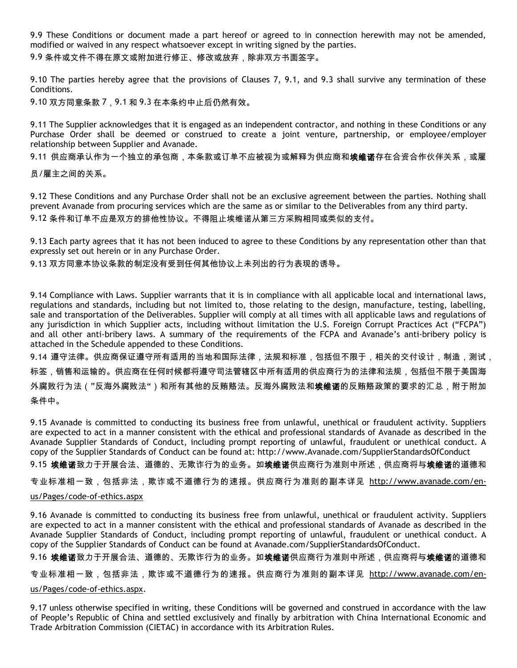9.9 These Conditions or document made a part hereof or agreed to in connection herewith may not be amended, modified or waived in any respect whatsoever except in writing signed by the parties.

9.9 条件或文件不得在原文或附加进行修正、修改或放弃,除非双方书面签字。

9.10 The parties hereby agree that the provisions of Clauses 7, 9.1, and 9.3 shall survive any termination of these Conditions.

9.10 双方同意条款 7, 9.1 和 9.3 在本条约中止后仍然有效。

9.11 The Supplier acknowledges that it is engaged as an independent contractor, and nothing in these Conditions or any Purchase Order shall be deemed or construed to create a joint venture, partnership, or employee/employer relationship between Supplier and Avanade.

9.11 供应商承认作为一个独立的承包商,本条款或订单不应被视为或解释为供应商和**埃维诺**存在合资合作伙伴关系,或雇

员/雇主之间的关系。

9.12 These Conditions and any Purchase Order shall not be an exclusive agreement between the parties. Nothing shall prevent Avanade from procuring services which are the same as or similar to the Deliverables from any third party. 9.12 条件和订单不应是双方的排他性协议。不得阻止埃维诺从第三方采购相同或类似的支付。

9.13 Each party agrees that it has not been induced to agree to these Conditions by any representation other than that expressly set out herein or in any Purchase Order.

9.13 双方同意本协议条款的制定没有受到任何其他协议上未列出的行为表现的诱导。

9.14 Compliance with Laws. Supplier warrants that it is in compliance with all applicable local and international laws, regulations and standards, including but not limited to, those relating to the design, manufacture, testing, labelling, sale and transportation of the Deliverables. Supplier will comply at all times with all applicable laws and regulations of any jurisdiction in which Supplier acts, including without limitation the U.S. Foreign Corrupt Practices Act ("FCPA") and all other anti-bribery laws. A summary of the requirements of the FCPA and Avanade's anti-bribery policy is attached in the Schedule appended to these Conditions.

9.14 遵守法律。供应商保证遵守所有适用的当地和国际法律,法规和标准,包括但不限于,相关的交付设计,制造,测试, 标签,销售和运输的。供应商在任何时候都将遵守司法管辖区中所有适用的供应商行为的法律和法规,包括但不限于美国海 外腐败行为法("反海外腐败法")和所有其他的反贿赂法。反海外腐败法和**埃维诺**的反贿赂政策的要求的汇总,附于附加 条件中。

9.15 Avanade is committed to conducting its business free from unlawful, unethical or fraudulent activity. Suppliers are expected to act in a manner consistent with the ethical and professional standards of Avanade as described in the Avanade Supplier Standards of Conduct, including prompt reporting of unlawful, fraudulent or unethical conduct. A copy of the Supplier Standards of Conduct can be found at: http://www.Avanade.com/SupplierStandardsOfConduct

9.15 **埃维诺**致力于开展合法、道德的、无欺诈行为的业务。如**埃维诺**供应商行为准则中所述,供应商将与**埃维诺**的道德和

专业标准相一致,包括非法,欺诈或不道德行为的速报。供应商行为准则的副本详见 [http://www.avanade.com/en-](http://www.avanade.com/en-us/Pages/code-of-ethics.aspx)

### [us/Pages/code-of-ethics.aspx](http://www.avanade.com/en-us/Pages/code-of-ethics.aspx)

9.16 Avanade is committed to conducting its business free from unlawful, unethical or fraudulent activity. Suppliers are expected to act in a manner consistent with the ethical and professional standards of Avanade as described in the Avanade Supplier Standards of Conduct, including prompt reporting of unlawful, fraudulent or unethical conduct. A copy of the Supplier Standards of Conduct can be found at Avanade.com/SupplierStandardsOfConduct.

9.16 埃维诺致力于开展合法、道德的、无欺诈行为的业务。如**埃维诺**供应商行为准则中所述,供应商将与**埃维诺**的道德和

专业标准相一致,包括非法,欺诈或不道德行为的速报。供应商行为准则的副本详见 [http://www.avanade.com/en](http://www.avanade.com/en-us/Pages/code-of-ethics.aspx)[us/Pages/code-of-ethics.aspx.](http://www.avanade.com/en-us/Pages/code-of-ethics.aspx)

9.17 unless otherwise specified in writing, these Conditions will be governed and construed in accordance with the law of People's Republic of China and settled exclusively and finally by arbitration with China International Economic and Trade Arbitration Commission (CIETAC) in accordance with its Arbitration Rules.